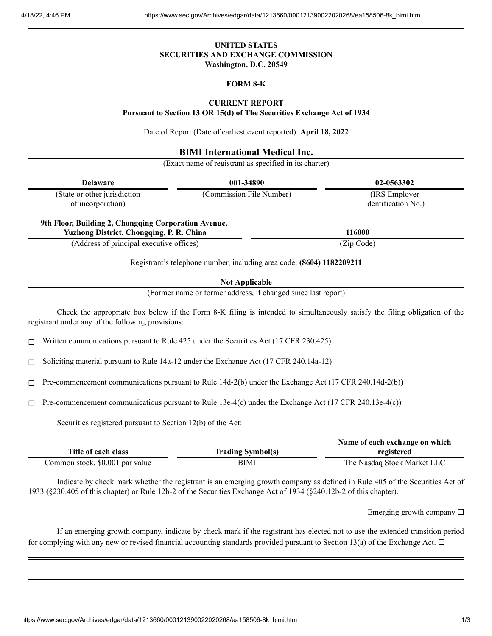## **UNITED STATES SECURITIES AND EXCHANGE COMMISSION Washington, D.C. 20549**

# **FORM 8-K**

# **CURRENT REPORT**

**Pursuant to Section 13 OR 15(d) of The Securities Exchange Act of 1934**

Date of Report (Date of earliest event reported): **April 18, 2022**

### **BIMI International Medical Inc.**

(Exact name of registrant as specified in its charter)

| <b>Delaware</b>                                                                                             |                                                                                                  | 001-34890                                                                                                          | 02-0563302                                                                                                                  |
|-------------------------------------------------------------------------------------------------------------|--------------------------------------------------------------------------------------------------|--------------------------------------------------------------------------------------------------------------------|-----------------------------------------------------------------------------------------------------------------------------|
| (State or other jurisdiction<br>of incorporation)                                                           |                                                                                                  | (Commission File Number)                                                                                           | (IRS Employer<br>Identification No.)                                                                                        |
|                                                                                                             | 9th Floor, Building 2, Chongqing Corporation Avenue,<br>Yuzhong District, Chongqing, P. R. China |                                                                                                                    | 116000                                                                                                                      |
|                                                                                                             | (Address of principal executive offices)                                                         |                                                                                                                    | (Zip Code)                                                                                                                  |
|                                                                                                             |                                                                                                  | Registrant's telephone number, including area code: (8604) 1182209211                                              |                                                                                                                             |
|                                                                                                             |                                                                                                  | <b>Not Applicable</b>                                                                                              |                                                                                                                             |
| (Former name or former address, if changed since last report)                                               |                                                                                                  |                                                                                                                    |                                                                                                                             |
|                                                                                                             | registrant under any of the following provisions:                                                |                                                                                                                    | Check the appropriate box below if the Form 8-K filing is intended to simultaneously satisfy the filing obligation of the   |
| Written communications pursuant to Rule 425 under the Securities Act (17 CFR 230.425)<br>Ш                  |                                                                                                  |                                                                                                                    |                                                                                                                             |
| Soliciting material pursuant to Rule 14a-12 under the Exchange Act (17 CFR 240.14a-12)<br>□                 |                                                                                                  |                                                                                                                    |                                                                                                                             |
| Pre-commencement communications pursuant to Rule 14d-2(b) under the Exchange Act (17 CFR 240.14d-2(b))<br>□ |                                                                                                  |                                                                                                                    |                                                                                                                             |
| Pre-commencement communications pursuant to Rule 13e-4(c) under the Exchange Act (17 CFR 240.13e-4(c))<br>П |                                                                                                  |                                                                                                                    |                                                                                                                             |
|                                                                                                             | Securities registered pursuant to Section 12(b) of the Act:                                      |                                                                                                                    |                                                                                                                             |
| Title of each class                                                                                         |                                                                                                  | <b>Trading Symbol(s)</b>                                                                                           | Name of each exchange on which<br>registered                                                                                |
| Common stock, \$0.001 par value                                                                             |                                                                                                  | <b>BIMI</b>                                                                                                        | The Nasdaq Stock Market LLC                                                                                                 |
|                                                                                                             |                                                                                                  | 1933 (§230.405 of this chapter) or Rule 12b-2 of the Securities Exchange Act of 1934 (§240.12b-2 of this chapter). | Indicate by check mark whether the registrant is an emerging growth company as defined in Rule 405 of the Securities Act of |

Emerging growth company  $\Box$ 

If an emerging growth company, indicate by check mark if the registrant has elected not to use the extended transition period for complying with any new or revised financial accounting standards provided pursuant to Section 13(a) of the Exchange Act.  $\Box$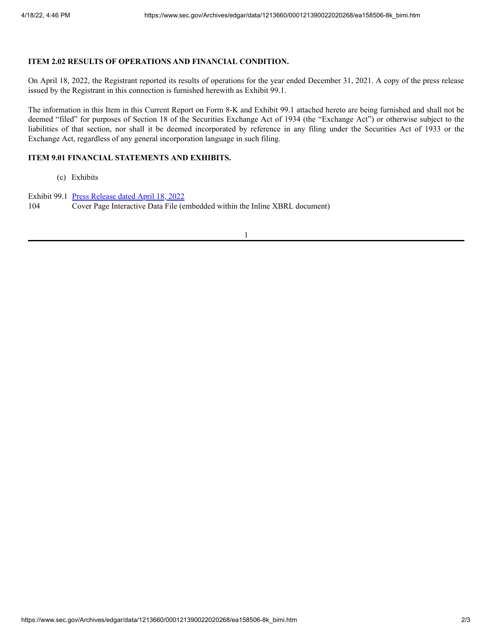## **ITEM 2.02 RESULTS OF OPERATIONS AND FINANCIAL CONDITION.**

On April 18, 2022, the Registrant reported its results of operations for the year ended December 31, 2021. A copy of the press release issued by the Registrant in this connection is furnished herewith as Exhibit 99.1.

The information in this Item in this Current Report on Form 8-K and Exhibit 99.1 attached hereto are being furnished and shall not be deemed "filed" for purposes of Section 18 of the Securities Exchange Act of 1934 (the "Exchange Act") or otherwise subject to the liabilities of that section, nor shall it be deemed incorporated by reference in any filing under the Securities Act of 1933 or the Exchange Act, regardless of any general incorporation language in such filing.

### **ITEM 9.01 FINANCIAL STATEMENTS AND EXHIBITS.**

(c) Exhibits

Exhibit 99.1 Press [Release](https://www.sec.gov/Archives/edgar/data/1213660/000121390022020268/ea158506ex991_bimi.htm) dated April 18, 2022 104 Cover Page Interactive Data File (embedded within the Inline XBRL document)